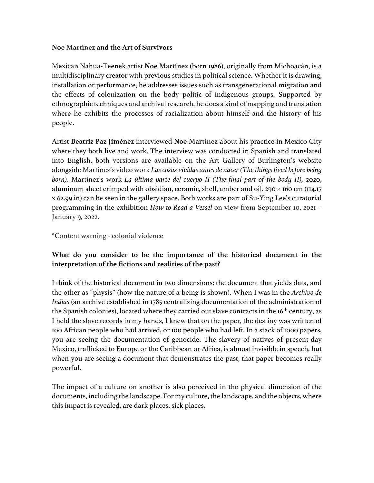#### **Noe Martínez and the Art of Survivors**

Mexican Nahua-Teenek artist **Noe Martínez (**born 1986), originally from Michoacán, is a multidisciplinary creator with previous studies in political science. Whether it is drawing, installation or performance, he addresses issues such as transgenerational migration and the effects of colonization on the body politic of indigenous groups. Supported by ethnographic techniques and archival research, he does a kind of mapping and translation where he exhibits the processes of racialization about himself and the history of his people.

Artist **Beatriz Paz Jiménez** interviewed **Noe Martínez** about his practice in Mexico City where they both live and work. The interview was conducted in Spanish and translated into English, both versions are available on the Art Gallery of Burlington's website alongside Martínez's video work *Las cosas vividas antes de nacer (The things lived before being born)*. Martínez's work *La última parte del cuerpo II (The final part of the body II),* 2020, aluminum sheet crimped with obsidian, ceramic, shell, amber and oil. 290 × 160 cm (114.17 x 62.99 in) can be seen in the gallery space. Both works are part of Su-Ying Lee's curatorial programming in the exhibition *How to Read a Vessel* on view from September 10, 2021 – January 9, 2022.

\*Content warning - colonial violence

## **What do you consider to be the importance of the historical document in the interpretation of the fictions and realities of the past?**

I think of the historical document in two dimensions: the document that yields data, and the other as "physis" (how the nature of a being is shown). When I was in the *Archivo de Indias* (an archive established in 1785 centralizing documentation of the administration of the Spanish colonies), located where they carried out slave contracts in the  $16<sup>th</sup>$  century, as I held the slave records in my hands, I knew that on the paper, the destiny was written of 100 African people who had arrived, or 100 people who had left. In a stack of 1000 papers, you are seeing the documentation of genocide. The slavery of natives of present-day Mexico, trafficked to Europe or the Caribbean or Africa, is almost invisible in speech, but when you are seeing a document that demonstrates the past, that paper becomes really powerful.

The impact of a culture on another is also perceived in the physical dimension of the documents, including the landscape. For my culture, the landscape, and the objects, where this impact is revealed, are dark places, sick places.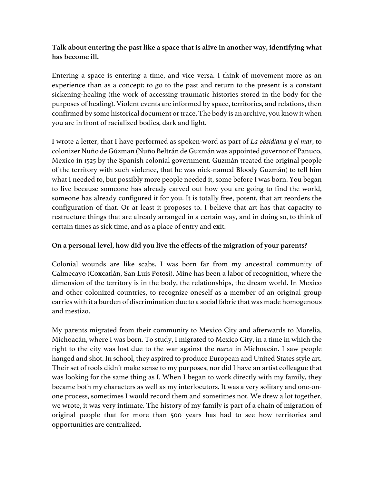# **Talk about entering the past like a space that is alive in another way, identifying what has become ill.**

Entering a space is entering a time, and vice versa. I think of movement more as an experience than as a concept: to go to the past and return to the present is a constant sickening-healing (the work of accessing traumatic histories stored in the body for the purposes of healing). Violent events are informed by space, territories, and relations, then confirmed by some historical document or trace. The body is an archive, you know it when you are in front of racialized bodies, dark and light.

I wrote a letter, that I have performed as spoken-word as part of *La obsidiana y el mar*, to colonizer Nuño de Gúzman (Nuño Beltrán de Guzmán was appointed governor of Panuco, Mexico in 1525 by the Spanish colonial government. Guzmán treated the original people of the territory with such violence, that he was nick-named Bloody Guzmán) to tell him what I needed to, but possibly more people needed it, some before I was born. You began to live because someone has already carved out how you are going to find the world, someone has already configured it for you. It is totally free, potent, that art reorders the configuration of that. Or at least it proposes to. I believe that art has that capacity to restructure things that are already arranged in a certain way, and in doing so, to think of certain times as sick time, and as a place of entry and exit.

#### **On a personal level, how did you live the effects of the migration of your parents?**

Colonial wounds are like scabs. I was born far from my ancestral community of Calmecayo (Coxcatlán, San Luis Potosí). Mine has been a labor of recognition, where the dimension of the territory is in the body, the relationships, the dream world. In Mexico and other colonized countries, to recognize oneself as a member of an original group carries with it a burden of discrimination due to a social fabric that was made homogenous and mestizo.

My parents migrated from their community to Mexico City and afterwards to Morelia, Michoacán, where I was born. To study, I migrated to Mexico City, in a time in which the right to the city was lost due to the war against the *narco* in Michoacán. I saw people hanged and shot. In school, they aspired to produce European and United States style art. Their set of tools didn't make sense to my purposes, nor did I have an artist colleague that was looking for the same thing as I. When I began to work directly with my family, they became both my characters as well as my interlocutors. It was a very solitary and one-onone process, sometimes I would record them and sometimes not. We drew a lot together, we wrote, it was very intimate. The history of my family is part of a chain of migration of original people that for more than 500 years has had to see how territories and opportunities are centralized.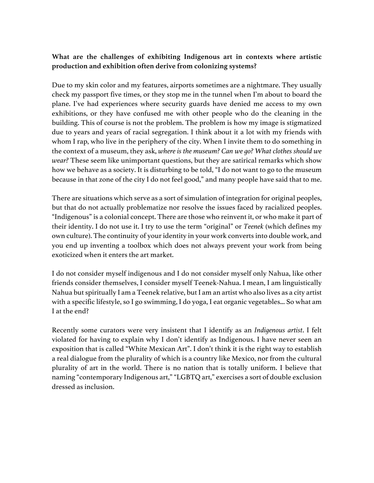## **What are the challenges of exhibiting Indigenous art in contexts where artistic production and exhibition often derive from colonizing systems?**

Due to my skin color and my features, airports sometimes are a nightmare. They usually check my passport five times, or they stop me in the tunnel when I'm about to board the plane. I've had experiences where security guards have denied me access to my own exhibitions, or they have confused me with other people who do the cleaning in the building. This of course is not the problem. The problem is how my image is stigmatized due to years and years of racial segregation. I think about it a lot with my friends with whom I rap, who live in the periphery of the city. When I invite them to do something in the context of a museum, they ask, *where is the museum? Can we go? What clothes should we wear?* These seem like unimportant questions, but they are satirical remarks which show how we behave as a society. It is disturbing to be told, "I do not want to go to the museum because in that zone of the city I do not feel good," and many people have said that to me.

There are situations which serve as a sort of simulation of integration for original peoples, but that do not actually problematize nor resolve the issues faced by racialized peoples. "Indigenous" is a colonial concept. There are those who reinvent it, or who make it part of their identity. I do not use it. I try to use the term "original" or *Teenek* (which defines my own culture). The continuity of your identity in your work converts into double work, and you end up inventing a toolbox which does not always prevent your work from being exoticized when it enters the art market.

I do not consider myself indigenous and I do not consider myself only Nahua, like other friends consider themselves, I consider myself Teenek-Nahua. I mean, I am linguistically Nahua but spiritually I am a Teenek relative, but I am an artist who also lives as a city artist with a specific lifestyle, so I go swimming, I do yoga, I eat organic vegetables... So what am I at the end?

Recently some curators were very insistent that I identify as an *Indigenous artist*. I felt violated for having to explain why I don't identify as Indigenous. I have never seen an exposition that is called "White Mexican Art". I don't think it is the right way to establish a real dialogue from the plurality of which is a country like Mexico, nor from the cultural plurality of art in the world. There is no nation that is totally uniform. I believe that naming "contemporary Indigenous art," "LGBTQ art," exercises a sort of double exclusion dressed as inclusion.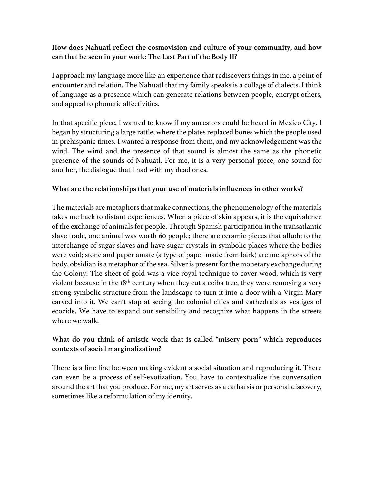## **How does Nahuatl reflect the cosmovision and culture of your community, and how can that be seen in your work: The Last Part of the Body II?**

I approach my language more like an experience that rediscovers things in me, a point of encounter and relation. The Nahuatl that my family speaks is a collage of dialects. I think of language as a presence which can generate relations between people, encrypt others, and appeal to phonetic affectivities.

In that specific piece, I wanted to know if my ancestors could be heard in Mexico City. I began by structuring a large rattle, where the plates replaced bones which the people used in prehispanic times. I wanted a response from them, and my acknowledgement was the wind. The wind and the presence of that sound is almost the same as the phonetic presence of the sounds of Nahuatl. For me, it is a very personal piece, one sound for another, the dialogue that I had with my dead ones.

#### **What are the relationships that your use of materials influences in other works?**

The materials are metaphors that make connections, the phenomenology of the materials takes me back to distant experiences. When a piece of skin appears, it is the equivalence of the exchange of animals for people. Through Spanish participation in the transatlantic slave trade, one animal was worth 60 people; there are ceramic pieces that allude to the interchange of sugar slaves and have sugar crystals in symbolic places where the bodies were void; stone and paper amate (a type of paper made from bark) are metaphors of the body, obsidian is a metaphor of the sea. Silver is present for the monetary exchange during the Colony. The sheet of gold was a vice royal technique to cover wood, which is very violent because in the 18<sup>th</sup> century when they cut a ceiba tree, they were removing a very strong symbolic structure from the landscape to turn it into a door with a Virgin Mary carved into it. We can't stop at seeing the colonial cities and cathedrals as vestiges of ecocide. We have to expand our sensibility and recognize what happens in the streets where we walk.

## **What do you think of artistic work that is called "misery porn" which reproduces contexts of social marginalization?**

There is a fine line between making evident a social situation and reproducing it. There can even be a process of self-exotization. You have to contextualize the conversation around the art that you produce. For me, my art serves as a catharsis or personal discovery, sometimes like a reformulation of my identity.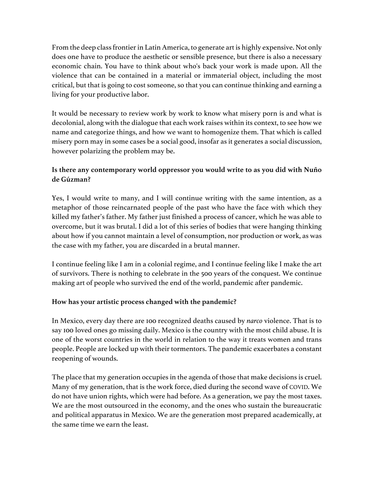From the deep class frontier in Latin America, to generate art is highly expensive. Not only does one have to produce the aesthetic or sensible presence, but there is also a necessary economic chain. You have to think about who's back your work is made upon. All the violence that can be contained in a material or immaterial object, including the most critical, but that is going to cost someone, so that you can continue thinking and earning a living for your productive labor.

It would be necessary to review work by work to know what misery porn is and what is decolonial, along with the dialogue that each work raises within its context, to see how we name and categorize things, and how we want to homogenize them. That which is called misery porn may in some cases be a social good, insofar as it generates a social discussion, however polarizing the problem may be.

# **Is there any contemporary world oppressor you would write to as you did with Nuño de Gúzman?**

Yes, I would write to many, and I will continue writing with the same intention, as a metaphor of those reincarnated people of the past who have the face with which they killed my father's father. My father just finished a process of cancer, which he was able to overcome, but it was brutal. I did a lot of this series of bodies that were hanging thinking about how if you cannot maintain a level of consumption, nor production or work, as was the case with my father, you are discarded in a brutal manner.

I continue feeling like I am in a colonial regime, and I continue feeling like I make the art of survivors. There is nothing to celebrate in the 500 years of the conquest. We continue making art of people who survived the end of the world, pandemic after pandemic.

## **How has your artistic process changed with the pandemic?**

In Mexico, every day there are 100 recognized deaths caused by *narco* violence. That is to say 100 loved ones go missing daily. Mexico is the country with the most child abuse. It is one of the worst countries in the world in relation to the way it treats women and trans people. People are locked up with their tormentors. The pandemic exacerbates a constant reopening of wounds.

The place that my generation occupies in the agenda of those that make decisions is cruel. Many of my generation, that is the work force, died during the second wave of COVID. We do not have union rights, which were had before. As a generation, we pay the most taxes. We are the most outsourced in the economy, and the ones who sustain the bureaucratic and political apparatus in Mexico. We are the generation most prepared academically, at the same time we earn the least.